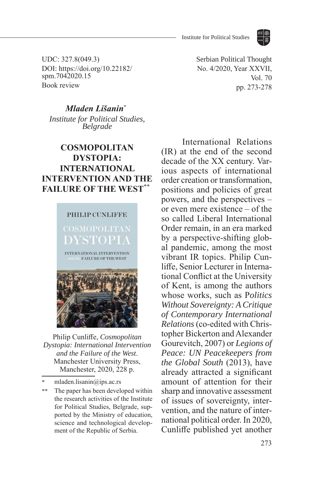

UDC: 327.8(049.3) DOI: https://doi.org/10.22182/ spm.7042020.15 Book review

Serbian Political Thought No. 4/2020, Year XXVII, Vol. 70 pp. 273-278

## *Mladen Lišanin*\*<sup>1</sup>

*Institute for Political Studies, Belgrade*

## **COSMOPOLITAN DYSTOPIA: INTERNATIONAL INTERVENTION AND THE FAILURE OF THE WEST\*\***



Philip Cunliffe, *Cosmopolitan Dystopia: International Intervention and the Failure of the West*. Manchester University Press, Manchester, 2020, 228 p.

mladen.lisanin@ips.ac.rs

\*\* The paper has been developed within the research activities of the Institute for Political Studies, Belgrade, supported by the Ministry of education, science and technological development of the Republic of Serbia.

International Relations (IR) at the end of the second decade of the XX century. Various aspects of international order creation or transformation, positions and policies of great powers, and the perspectives – or even mere existence – of the so called Liberal International Order remain, in an era marked by a perspective-shifting global pandemic, among the most vibrant IR topics. Philip Cunliffe, Senior Lecturer in International Conflict at the University of Kent, is among the authors whose works, such as P*olitics Without Sovereignty: A Critique of Contemporary International Relations* (co-edited with Christopher Bickerton and Alexander Gourevitch, 2007) or *Legions of Peace: UN Peacekeepers from the Global South* (2013), have already attracted a significant amount of attention for their sharp and innovative assessment of issues of sovereignty, intervention, and the nature of international political order. In 2020, Cunliffe published yet another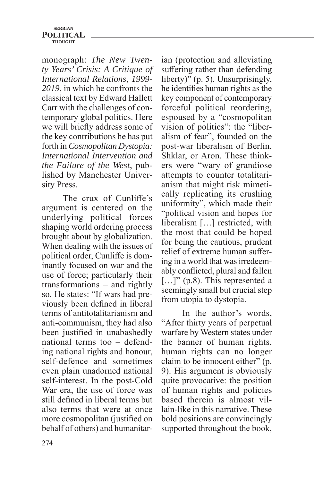## **SERBIAN POLITICAL THOUGHT**

monograph: *The New Twenty Years' Crisis: A Critique of International Relations, 1999- 2019*, in which he confronts the classical text by Edward Hallett Carr with the challenges of contemporary global politics. Here we will briefly address some of the key contributions he has put forth in *Cosmopolitan Dystopia: International Intervention and the Failure of the West*, published by Manchester University Press.

The crux of Cunliffe's argument is centered on the underlying political forces shaping world ordering process brought about by globalization. When dealing with the issues of political order, Cunliffe is dominantly focused on war and the use of force; particularly their transformations – and rightly so. He states: "If wars had previously been defined in liberal terms of antitotalitarianism and anti-communism, they had also been justified in unabashedly national terms too – defending national rights and honour, self-defence and sometimes even plain unadorned national self-interest. In the post-Cold War era, the use of force was still defined in liberal terms but also terms that were at once more cosmopolitan (justified on behalf of others) and humanitarian (protection and alleviating suffering rather than defending liberty)" (p. 5). Unsurprisingly, he identifies human rights as the key component of contemporary forceful political reordering, espoused by a "cosmopolitan vision of politics": the "liberalism of fear", founded on the post-war liberalism of Berlin, Shklar, or Aron. These thinkers were "wary of grandiose attempts to counter totalitarianism that might risk mimetically replicating its crushing uniformity", which made their "political vision and hopes for liberalism […] restricted, with the most that could be hoped for being the cautious, prudent relief of extreme human suffering in a world that was irredeemably conflicted, plural and fallen [...]" (p.8). This represented a seemingly small but crucial step from utopia to dystopia.

In the author's words, "After thirty years of perpetual warfare by Western states under the banner of human rights, human rights can no longer claim to be innocent either" (p. 9). His argument is obviously quite provocative: the position of human rights and policies based therein is almost villain-like in this narrative. These bold positions are convincingly supported throughout the book,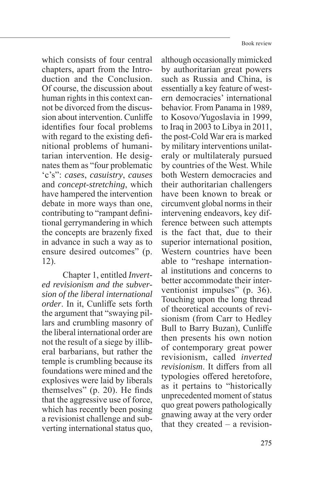which consists of four central chapters, apart from the Introduction and the Conclusion. Of course, the discussion about human rights in this context cannot be divorced from the discussion about intervention. Cunliffe identifies four focal problems with regard to the existing definitional problems of humanitarian intervention. He designates them as "four problematic 'c's": *cases*, *casuistry*, *causes* and *concept-stretching*, which have hampered the intervention debate in more ways than one, contributing to "rampant definitional gerrymandering in which the concepts are brazenly fixed in advance in such a way as to ensure desired outcomes" (p. 12).

Chapter 1, entitled *Inverted revisionism and the subversion of the liberal international order*. In it, Cunliffe sets forth the argument that "swaying pillars and crumbling masonry of the liberal international order are not the result of a siege by illiberal barbarians, but rather the temple is crumbling because its foundations were mined and the explosives were laid by liberals themselves" (p. 20). He finds that the aggressive use of force, which has recently been posing a revisionist challenge and subverting international status quo,

although occasionally mimicked by authoritarian great powers such as Russia and China, is essentially a key feature of western democracies' international behavior. From Panama in 1989, to Kosovo/Yugoslavia in 1999, to Iraq in 2003 to Libya in 2011, the post-Cold War era is marked by military interventions unilateraly or multilateraly pursued by countries of the West. While both Western democracies and their authoritarian challengers have been known to break or circumvent global norms in their intervening endeavors, key difference between such attempts is the fact that, due to their superior international position, Western countries have been able to "reshape international institutions and concerns to better accommodate their interventionist impulses" (p. 36). Touching upon the long thread of theoretical accounts of revisionism (from Carr to Hedley Bull to Barry Buzan), Cunliffe then presents his own notion of contemporary great power revisionism, called *inverted revisionism*. It differs from all typologies offered heretofore, as it pertains to "historically unprecedented moment of status quo great powers pathologically gnawing away at the very order that they created – a revision-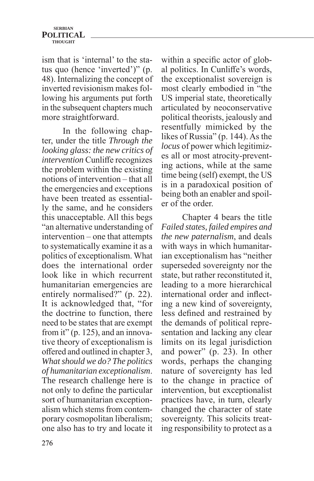ism that is 'internal' to the status quo (hence 'inverted')" (p. 48). Internalizing the concept of inverted revisionism makes following his arguments put forth in the subsequent chapters much more straightforward.

In the following chapter, under the title *Through the looking glass: the new critics of intervention* Cunliffe recognizes the problem within the existing notions of intervention – that all the emergencies and exceptions have been treated as essentially the same, and he considers this unacceptable. All this begs "an alternative understanding of intervention – one that attempts to systematically examine it as a politics of exceptionalism. What does the international order look like in which recurrent humanitarian emergencies are entirely normalised?" (p. 22). It is acknowledged that, "for the doctrine to function, there need to be states that are exempt from it" (p. 125), and an innovative theory of exceptionalism is offered and outlined in chapter 3, *What should we do? The politics of humanitarian exceptionalism*. The research challenge here is not only to define the particular sort of humanitarian exceptionalism which stems from contemporary cosmopolitan liberalism; one also has to try and locate it

within a specific actor of global politics. In Cunliffe's words, the exceptionalist sovereign is most clearly embodied in "the US imperial state, theoretically articulated by neoconservative political theorists, jealously and resentfully mimicked by the likes of Russia" (p. 144). As the *locus* of power which legitimizes all or most atrocity-preventing actions, while at the same time being (self) exempt, the US is in a paradoxical position of being both an enabler and spoiler of the order.

Chapter 4 bears the title *Failed states, failed empires and the new paternalism*, and deals with ways in which humanitarian exceptionalism has "neither superseded sovereignty nor the state, but rather reconstituted it, leading to a more hierarchical international order and inflecting a new kind of sovereignty, less defined and restrained by the demands of political representation and lacking any clear limits on its legal jurisdiction and power" (p. 23). In other words, perhaps the changing nature of sovereignty has led to the change in practice of intervention, but exceptionalist practices have, in turn, clearly changed the character of state sovereignty. This solicits treating responsibility to protect as a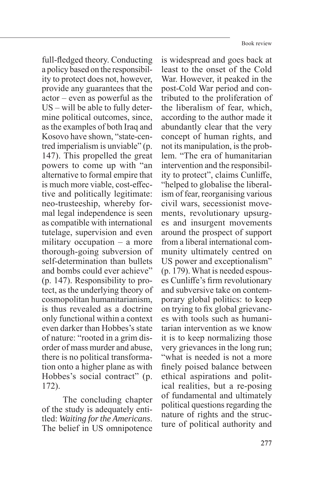full-fledged theory. Conducting a policy based on the responsibility to protect does not, however, provide any guarantees that the actor – even as powerful as the US – will be able to fully determine political outcomes, since, as the examples of both Iraq and Kosovo have shown, "state-centred imperialism is unviable" (p. 147). This propelled the great powers to come up with "an alternative to formal empire that is much more viable, cost-effective and politically legitimate: neo-trusteeship, whereby formal legal independence is seen as compatible with international tutelage, supervision and even military occupation – a more thorough-going subversion of self-determination than bullets and bombs could ever achieve" (p. 147). Responsibility to protect, as the underlying theory of cosmopolitan humanitarianism, is thus revealed as a doctrine only functional within a context even darker than Hobbes's state of nature: "rooted in a grim disorder of mass murder and abuse, there is no political transformation onto a higher plane as with Hobbes's social contract" (p. 172).

The concluding chapter of the study is adequately entitled: *Waiting for the Americans*. The belief in US omnipotence

is widespread and goes back at least to the onset of the Cold War. However, it peaked in the post-Cold War period and contributed to the proliferation of the liberalism of fear, which, according to the author made it abundantly clear that the very concept of human rights, and not its manipulation, is the problem. "The era of humanitarian intervention and the responsibility to protect", claims Cunliffe, "helped to globalise the liberalism of fear, reorganising various civil wars, secessionist movements, revolutionary upsurges and insurgent movements around the prospect of support from a liberal international community ultimately centred on US power and exceptionalism" (p. 179). What is needed espouses Cunliffe's firm revolutionary and subversive take on contemporary global politics: to keep on trying to fix global grievances with tools such as humanitarian intervention as we know it is to keep normalizing those very grievances in the long run; "what is needed is not a more finely poised balance between ethical aspirations and political realities, but a re-posing of fundamental and ultimately political questions regarding the nature of rights and the structure of political authority and